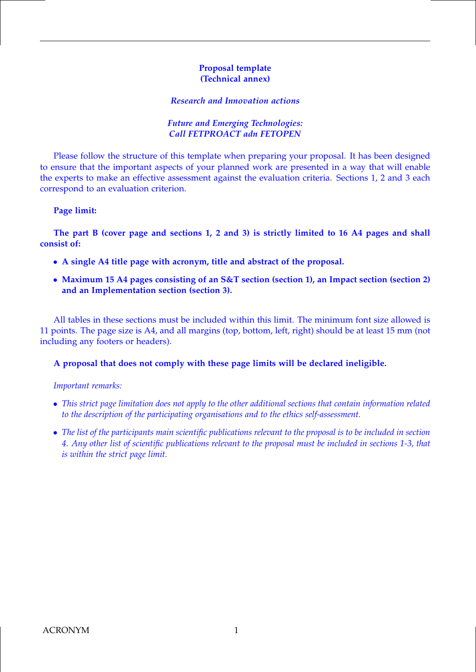#### **Proposal template (Technical annex)**

#### *Research and Innovation actions*

#### *Future and Emerging Technologies: Call FETPROACT adn FETOPEN*

Please follow the structure of this template when preparing your proposal. It has been designed to ensure that the important aspects of your planned work are presented in a way that will enable the experts to make an effective assessment against the evaluation criteria. Sections 1, 2 and 3 each correspond to an evaluation criterion.

#### **Page limit:**

**The part B (cover page and sections 1, 2 and 3) is strictly limited to 16 A4 pages and shall consist of:**

- **A single A4 title page with acronym, title and abstract of the proposal.**
- **Maximum 15 A4 pages consisting of an S&T section (section 1), an Impact section (section 2) and an Implementation section (section 3).**

All tables in these sections must be included within this limit. The minimum font size allowed is 11 points. The page size is A4, and all margins (top, bottom, left, right) should be at least 15 mm (not including any footers or headers).

#### **A proposal that does not comply with these page limits will be declared ineligible.**

#### *Important remarks:*

- *This strict page limitation does not apply to the other additional sections that contain information related to the description of the participating organisations and to the ethics self-assessment.*
- *The list of the participants main scientific publications relevant to the proposal is to be included in section 4. Any other list of scientific publications relevant to the proposal must be included in sections 1-3, that is within the strict page limit.*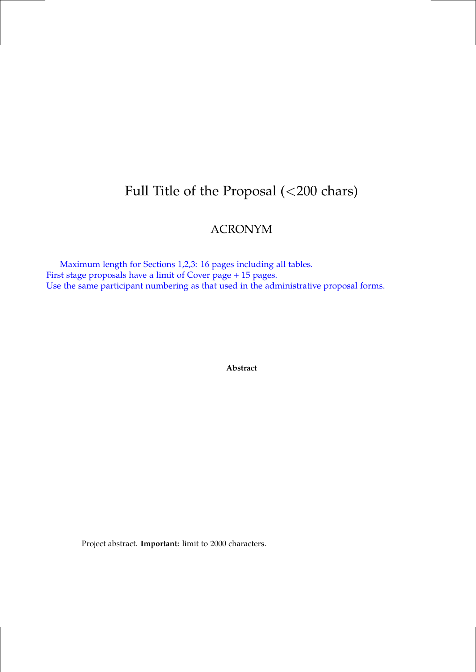# Full Title of the Proposal (<200 chars)

# ACRONYM

Maximum length for Sections 1,2,3: 16 pages including all tables. First stage proposals have a limit of Cover page + 15 pages. Use the same participant numbering as that used in the administrative proposal forms.

**Abstract**

Project abstract. **Important:** limit to 2000 characters.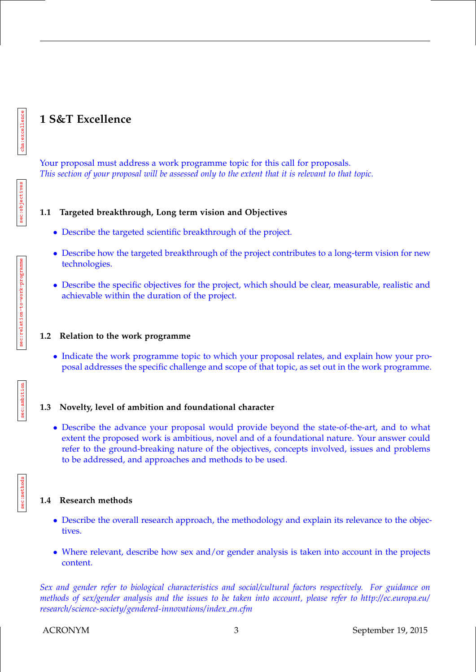# **1 S&T Excellence**

Your proposal must address a work programme topic for this call for proposals. *This section of your proposal will be assessed only to the extent that it is relevant to that topic.*

## **1.1 Targeted breakthrough, Long term vision and Objectives**

- Describe the targeted scientific breakthrough of the project.
- Describe how the targeted breakthrough of the project contributes to a long-term vision for new technologies.
- Describe the specific objectives for the project, which should be clear, measurable, realistic and achievable within the duration of the project.

#### **1.2 Relation to the work programme**

• Indicate the work programme topic to which your proposal relates, and explain how your proposal addresses the specific challenge and scope of that topic, as set out in the work programme.

## **1.3 Novelty, level of ambition and foundational character**

• Describe the advance your proposal would provide beyond the state-of-the-art, and to what extent the proposed work is ambitious, novel and of a foundational nature. Your answer could refer to the ground-breaking nature of the objectives, concepts involved, issues and problems to be addressed, and approaches and methods to be used.

## **1.4 Research methods**

- Describe the overall research approach, the methodology and explain its relevance to the objectives.
- Where relevant, describe how sex and/or gender analysis is taken into account in the projects content.

*Sex and gender refer to biological characteristics and social/cultural factors respectively. For guidance on methods of sex/gender analysis and the issues to be taken into account, please refer to http://ec.europa.eu/ research/science-society/gendered-innovations/index en.cfm*

cha:excellence

cha:excellenc

sec:objectives

sec:objectives

sec:methods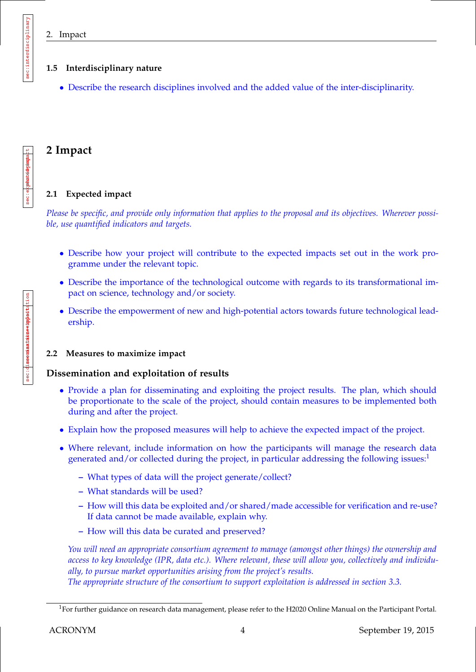sec:interdisciplinary

sec:interdisciplinary

## **1.5 Interdisciplinary nature**

• Describe the research disciplines involved and the added value of the inter-disciplinarity.

## **2 Impact**

## **2.1 Expected impact**

*Please be specific, and provide only information that applies to the proposal and its objectives. Wherever possible, use quantified indicators and targets.*

- Describe how your project will contribute to the expected impacts set out in the work programme under the relevant topic.
- Describe the importance of the technological outcome with regards to its transformational impact on science, technology and/or society.
- Describe the empowerment of new and high-potential actors towards future technological leadership.

## **2.2 Measures to maximize impact**

## **Dissemination and exploitation of results**

- Provide a plan for disseminating and exploiting the project results. The plan, which should be proportionate to the scale of the project, should contain measures to be implemented both during and after the project.
- Explain how the proposed measures will help to achieve the expected impact of the project.
- Where relevant, include information on how the participants will manage the research data generated and/or collected during the project, in particular addressing the following issues: $1$ 
	- **–** What types of data will the project generate/collect?
	- **–** What standards will be used?
	- **–** How will this data be exploited and/or shared/made accessible for verification and re-use? If data cannot be made available, explain why.
	- **–** How will this data be curated and preserved?

*You will need an appropriate consortium agreement to manage (amongst other things) the ownership and access to key knowledge (IPR, data etc.). Where relevant, these will allow you, collectively and individually, to pursue market opportunities arising from the project's results. The appropriate structure of the consortium to support exploitation is addressed in section 3.3.*

<sup>&</sup>lt;sup>1</sup>For further guidance on research data management, please refer to the H2020 Online Manual on the Participant Portal.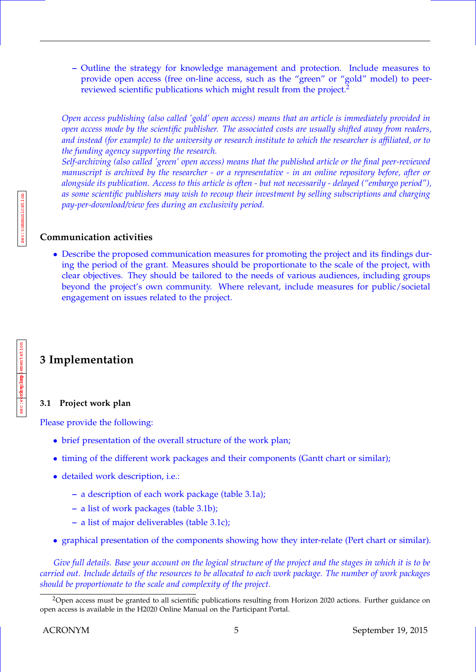**–** Outline the strategy for knowledge management and protection. Include measures to provide open access (free on-line access, such as the "green" or "gold" model) to peerreviewed scientific publications which might result from the project.<sup>2</sup>

*Open access publishing (also called 'gold' open access) means that an article is immediately provided in open access mode by the scientific publisher. The associated costs are usually shifted away from readers, and instead (for example) to the university or research institute to which the researcher is affiliated, or to the funding agency supporting the research.*

*Self-archiving (also called 'green' open access) means that the published article or the final peer-reviewed manuscript is archived by the researcher - or a representative - in an online repository before, after or alongside its publication. Access to this article is often - but not necessarily - delayed ("embargo period"), as some scientific publishers may wish to recoup their investment by selling subscriptions and charging pay-per-download/view fees during an exclusivity period.*

## **Communication activities**

• Describe the proposed communication measures for promoting the project and its findings during the period of the grant. Measures should be proportionate to the scale of the project, with clear objectives. They should be tailored to the needs of various audiences, including groups beyond the project's own community. Where relevant, include measures for public/societal engagement on issues related to the project.

# **3 Implementation**

## **3.1 Project work plan**

Please provide the following:

- brief presentation of the overall structure of the work plan;
- timing of the different work packages and their components (Gantt chart or similar);
- detailed work description, i.e.:
	- **–** a description of each work package (table 3.1a);
	- **–** a list of work packages (table 3.1b);
	- **–** a list of major deliverables (table 3.1c);
- graphical presentation of the components showing how they inter-relate (Pert chart or similar).

*Give full details. Base your account on the logical structure of the project and the stages in which it is to be carried out. Include details of the resources to be allocated to each work package. The number of work packages should be proportionate to the scale and complexity of the project.*

c<mark>ha:impl</mark>ementation

rkeplamplementation

sec:work-plan

<sup>&</sup>lt;sup>2</sup>Open access must be granted to all scientific publications resulting from Horizon 2020 actions. Further guidance on open access is available in the H2020 Online Manual on the Participant Portal.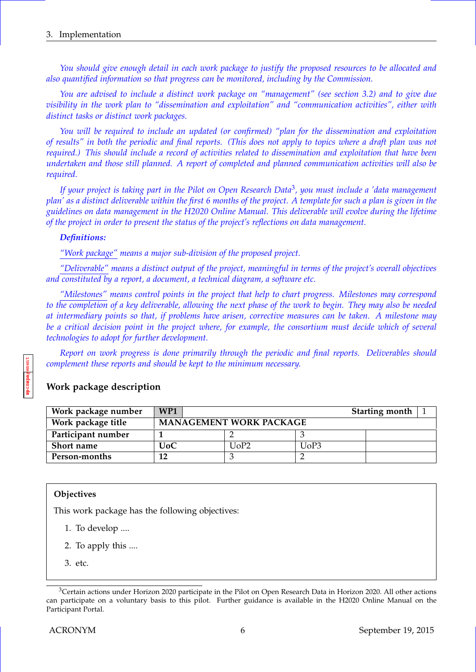*You should give enough detail in each work package to justify the proposed resources to be allocated and also quantified information so that progress can be monitored, including by the Commission.*

*You are advised to include a distinct work package on "management" (see section 3.2) and to give due visibility in the work plan to "dissemination and exploitation" and "communication activities", either with distinct tasks or distinct work packages.*

*You will be required to include an updated (or confirmed) "plan for the dissemination and exploitation of results" in both the periodic and final reports. (This does not apply to topics where a draft plan was not required.) This should include a record of activities related to dissemination and exploitation that have been undertaken and those still planned. A report of completed and planned communication activities will also be required.*

*If your project is taking part in the Pilot on Open Research Data*<sup>3</sup> *, you must include a 'data management plan' as a distinct deliverable within the first 6 months of the project. A template for such a plan is given in the guidelines on data management in the H2020 Online Manual. This deliverable will evolve during the lifetime of the project in order to present the status of the project's reflections on data management.*

#### *Definitions:*

*"Work package" means a major sub-division of the proposed project.*

*"Deliverable" means a distinct output of the project, meaningful in terms of the project's overall objectives and constituted by a report, a document, a technical diagram, a software etc.*

*"Milestones" means control points in the project that help to chart progress. Milestones may correspond to the completion of a key deliverable, allowing the next phase of the work to begin. They may also be needed at intermediary points so that, if problems have arisen, corrective measures can be taken. A milestone may be a critical decision point in the project where, for example, the consortium must decide which of several technologies to adopt for further development.*

*Report on work progress is done primarily through the periodic and final reports. Deliverables should complement these reports and should be kept to the minimum necessary.*

## **Work package description**

| Work package number | WP1 |                                |      | <b>Starting month</b> $\vert$ 1 |  |
|---------------------|-----|--------------------------------|------|---------------------------------|--|
| Work package title  |     | <b>MANAGEMENT WORK PACKAGE</b> |      |                                 |  |
| Participant number  |     |                                |      |                                 |  |
| <b>Short name</b>   | UoC | UoP2                           | UoP3 |                                 |  |
| Person-months       | 12  |                                |      |                                 |  |

## **Objectives**

secmanagement

This work package has the following objectives:

- 1. To develop ....
- 2. To apply this ....
- 3. etc.

 $3$ Certain actions under Horizon 2020 participate in the Pilot on Open Research Data in Horizon 2020. All other actions can participate on a voluntary basis to this pilot. Further guidance is available in the H2020 Online Manual on the Participant Portal.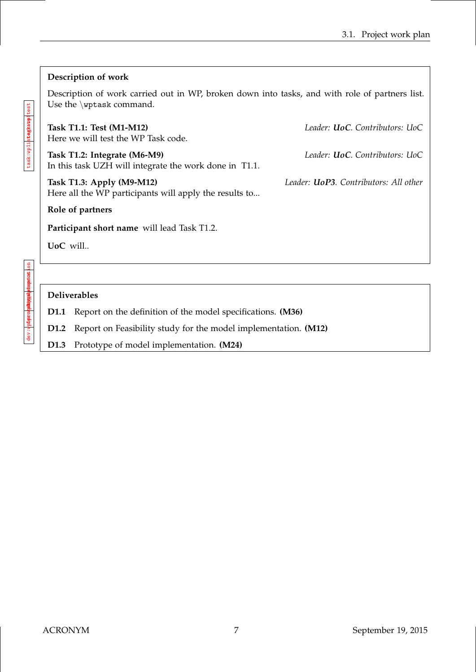## **Description of work**

Description of work carried out in WP, broken down into tasks, and with role of partners list. Use the \wptask command.

**Task T1.1: Test (M1-M12)** *Leader: UoC. Contributors: UoC* Here we will test the WP Task code.

**Task T1.2: Integrate (M6-M9)** *Leader: UoC. Contributors: UoC* In this task UZH will integrate the work done in T1.1.

**Task T1.3: Apply (M9-M12)** *Leader: UoP3. Contributors: All other* Here all the WP participants will apply the results to...

**Role of partners**

**Participant short name** will lead Task T1.2.

**UoC** will..

.on diev: ortane manifementastic n lev: wpdeprodusymaalphrepoetest di<del>ciyiyal</del> pelmeybecasi dev: w**pdex: ortodisionities** 

## **Deliverables**

**D1.1** Report on the definition of the model specifications. **(M36)**

**D1.2** Report on Feasibility study for the model implementation. **(M12)**

**D1.3** Prototype of model implementation. **(M24)**

task:wpiihtegkawpitest tagkat**p**1test task:wp1integkate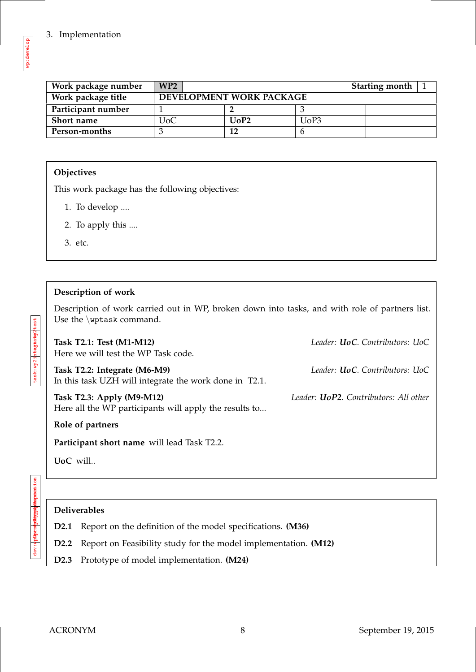| Work package number | WP2 |                               |      | Starting month $\vert$ |
|---------------------|-----|-------------------------------|------|------------------------|
| Work package title  |     | DEVELOPMENT WORK PACKAGE      |      |                        |
| Participant number  |     |                               |      |                        |
| Short name          | UoC | U <sub>0</sub> P <sub>2</sub> | UoP3 |                        |
| Person-months       |     | 12                            |      |                        |

## **Objectives**

This work package has the following objectives:

- 1. To develop ....
- 2. To apply this ....
- 3. etc.

## **Description of work**

Description of work carried out in WP, broken down into tasks, and with role of partners list. Use the \wptask command.

| Task T2.1: Test (M1-M12)<br>Here we will test the WP Task code.                        | Leader: <b>UoC</b> , Contributors: UoC        |
|----------------------------------------------------------------------------------------|-----------------------------------------------|
| Task T2.2: Integrate (M6-M9)<br>In this task UZH will integrate the work done in T2.1. | Leader: <b>UoC</b> . Contributors: UoC        |
| Task T2.3: Apply (M9-M12)<br>Here all the WP participants will apply the results to    | Leader: <b>UoP2</b> . Contributors: All other |
| Role of partners                                                                       |                                               |
| Participant short name will lead Task T2.2.                                            |                                               |
| $U_0C$ will                                                                            |                                               |
|                                                                                        |                                               |

 $rac{a}{a}$ dev:w<mark>holeignal p?nepetast</mark>ion devi**nal marged** dev: wp2prototype

## **Deliverables**

**D2.1** Report on the definition of the model specifications. **(M36)**

**D2.2** Report on Feasibility study for the model implementation. **(M12)**

**D2.3** Prototype of model implementation. **(M24)**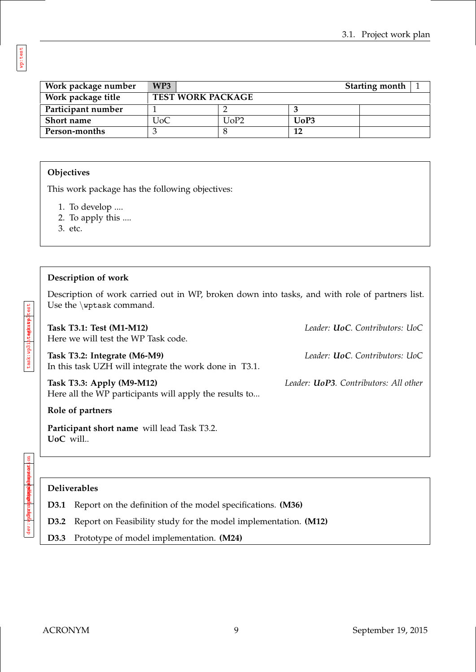| Work package number | WP3.                     |      |      | Starting month $\vert$ |
|---------------------|--------------------------|------|------|------------------------|
| Work package title  | <b>TEST WORK PACKAGE</b> |      |      |                        |
| Participant number  |                          |      |      |                        |
| <b>Short name</b>   | JoC                      | UoP2 | UoP3 |                        |
| Person-months       |                          |      | 12   |                        |

## **Objectives**

This work package has the following objectives:

- 1. To develop ....
- 2. To apply this ....
- 3. etc.

#### **Description of work**

Description of work carried out in WP, broken down into tasks, and with role of partners list. Use the \wptask command.

| Task T3.1: Test (M1-M12)<br>Here we will test the WP Task code.                        | Leader: <b>UoC</b> . Contributors: UoC        |
|----------------------------------------------------------------------------------------|-----------------------------------------------|
| Task T3.2: Integrate (M6-M9)<br>In this task UZH will integrate the work done in T3.1. | Leader: <b>UoC</b> . Contributors: UoC        |
| Task T3.3: Apply (M9-M12)<br>Here all the WP participants will apply the results to    | Leader: <b>UoP3</b> . Contributors: All other |
| Role of partners                                                                       |                                               |
| Participant short name will lead Task T3.2.<br>UoC will                                |                                               |

deu: wh<mark>ade malphementas</mark>tion **Abr** company and parameters development of dev: w**pday cohaigma** 

## **Deliverables**

**D3.1** Report on the definition of the model specifications. **(M36)**

**D3.2** Report on Feasibility study for the model implementation. **(M12)**

**D3.3** Prototype of model implementation. **(M24)**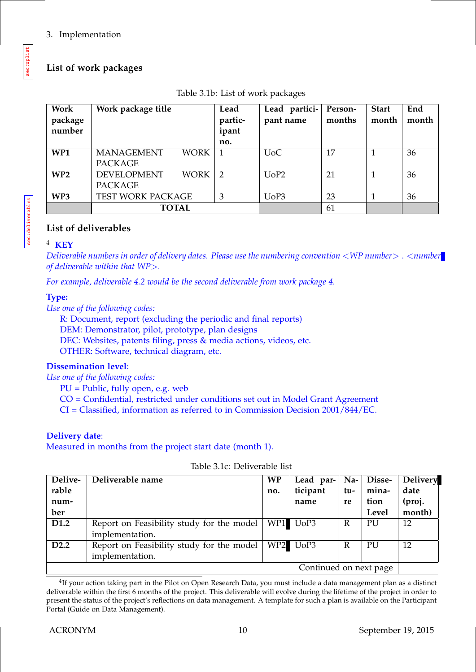## **List of work packages**

| Work<br>package<br>number | Work package title                                 | Lead<br>partic-<br>ipant<br>no. | Lead partici-<br>pant name | Person-<br>months | <b>Start</b><br>month | End<br>month |
|---------------------------|----------------------------------------------------|---------------------------------|----------------------------|-------------------|-----------------------|--------------|
| WP <sub>1</sub>           | <b>MANAGEMENT</b><br><b>WORK</b><br><b>PACKAGE</b> |                                 | U <sub>0</sub> C           | 17                |                       | 36           |
| WP2                       | <b>DEVELOPMENT</b><br><b>WORK</b><br>PACKAGE       | $\overline{2}$                  | UoP2                       | 21                |                       | 36           |
| WP <sub>3</sub>           | TEST WORK PACKAGE                                  | 3                               | UoP3                       | 23                |                       | 36           |
|                           | <b>TOTAL</b>                                       |                                 |                            | 61                |                       |              |

|  |  | Table 3.1b: List of work packages |  |
|--|--|-----------------------------------|--|
|  |  |                                   |  |

## **List of deliverables**

## <sup>4</sup> **KEY**

*Deliverable numbers in order of delivery dates. Please use the numbering convention* <*WP number*> . <*number of deliverable within that WP*>*.*

*For example, deliverable 4.2 would be the second deliverable from work package 4.*

## **Type:**

*Use one of the following codes:*

R: Document, report (excluding the periodic and final reports) DEM: Demonstrator, pilot, prototype, plan designs DEC: Websites, patents filing, press & media actions, videos, etc. OTHER: Software, technical diagram, etc.

## **Dissemination level**:

*Use one of the following codes:*

 $PU = Public, fully open, e.g. web$ 

CO = Confidential, restricted under conditions set out in Model Grant Agreement

CI = Classified, information as referred to in Commission Decision 2001/844/EC.

## **Delivery date**:

Measured in months from the project start date (month 1).

| Delive-                | Deliverable name                          | <b>WP</b> | Lead par- | $\mathbf{N}$ a- | <b>Disse-</b> | <b>Delivery</b> |
|------------------------|-------------------------------------------|-----------|-----------|-----------------|---------------|-----------------|
| rable                  |                                           | no.       | ticipant  | tu-             | mina-         | date            |
| num-                   |                                           |           | name      | re              | tion          | (proj.          |
| ber                    |                                           |           |           |                 | Level         | month)          |
| D <sub>1.2</sub>       | Report on Feasibility study for the model | WP1       | UoP3      | R               | PU            | 12              |
|                        | implementation.                           |           |           |                 |               |                 |
| D <sub>2.2</sub>       | Report on Feasibility study for the model | WP2       | UoP3      | R               | PU            | 12              |
|                        | implementation.                           |           |           |                 |               |                 |
| Continued on next page |                                           |           |           |                 |               |                 |

Table 3.1c: Deliverable list

 $^{4}$ If your action taking part in the Pilot on Open Research Data, you must include a data management plan as a distinct deliverable within the first 6 months of the project. This deliverable will evolve during the lifetime of the project in order to present the status of the project's reflections on data management. A template for such a plan is available on the Participant Portal (Guide on Data Management).

sec:wplist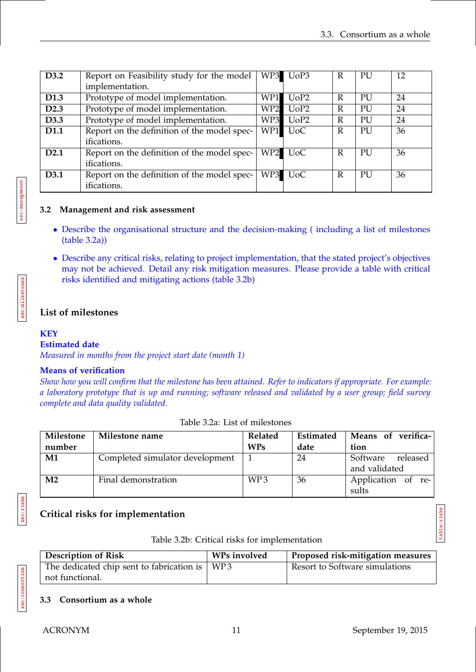| D3.2             | Report on Feasibility study for the model   |                 | WP3 UoP3         | R            | PU | 12 |
|------------------|---------------------------------------------|-----------------|------------------|--------------|----|----|
|                  | implementation.                             |                 |                  |              |    |    |
| D <sub>1.3</sub> | Prototype of model implementation.          | WP1             | UoP2             | R            | PU | 24 |
| D <sub>2.3</sub> | Prototype of model implementation.          | WP <sub>2</sub> | UoP2             | R            | PU | 24 |
| D3.3             | Prototype of model implementation.          | WP3             | UoP2             | $\mathbb{R}$ | PU | 24 |
| D1.1             | Report on the definition of the model spec- | WP1             | U <sub>o</sub> C | R            | PU | 36 |
|                  | ifications.                                 |                 |                  |              |    |    |
| D <sub>2.1</sub> | Report on the definition of the model spec- |                 | WP2 UoC          | R            | PU | 36 |
|                  | ifications.                                 |                 |                  |              |    |    |
| D3.1             | Report on the definition of the model spec- |                 | WP3 UoC          | R            | PU | 36 |
|                  | ifications.                                 |                 |                  |              |    |    |

## **3.2 Management and risk assessment**

- Describe the organisational structure and the decision-making ( including a list of milestones (table 3.2a))
- Describe any critical risks, relating to project implementation, that the stated project's objectives may not be achieved. Detail any risk mitigation measures. Please provide a table with critical risks identified and mitigating actions (table 3.2b)

## **List of milestones**

#### **KEY**

sec:management

sec:milestones

sec:milesto

#### **Estimated date**

*Measured in months from the project start date (month 1)*

## **Means of verification**

*Show how you will confirm that the milestone has been attained. Refer to indicators if appropriate. For example: a laboratory prototype that is up and running; software released and validated by a user group; field survey complete and data quality validated.*

| Milestone<br>number | Milestone name                  | Related<br><b>WPs</b> | Estimated<br>date | Means of verifica-<br>tion            |
|---------------------|---------------------------------|-----------------------|-------------------|---------------------------------------|
| M1                  | Completed simulator development |                       | 24                | Software<br>released<br>and validated |
| M <sub>2</sub>      | Final demonstration             | WP <sub>3</sub>       | 36                | Application of re-<br>sults           |

Table 3.2a: List of milestones

sec:risks

sec:consortium

## **Critical risks for implementation**

| Table 3.2b: Critical risks for implementation |  |  |  |  |  |  |
|-----------------------------------------------|--|--|--|--|--|--|
|-----------------------------------------------|--|--|--|--|--|--|

| <b>Description of Risk</b>                    | WPs involved | Proposed risk-mitigation measures |
|-----------------------------------------------|--------------|-----------------------------------|
| The dedicated chip sent to fabrication is $ $ | WP3          | Resort to Software simulations    |
| not functional.                               |              |                                   |

#### **3.3 Consortium as a whole**

table:risks

table: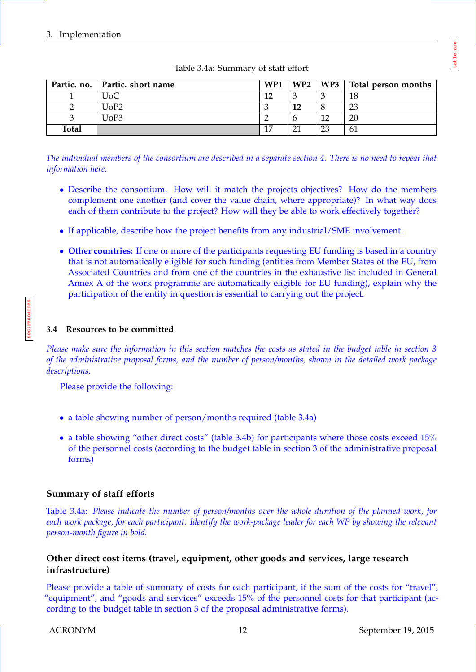|              | Partic. no.   Partic. short name | WP1 |    |    | WP2   WP3   Total person months |
|--------------|----------------------------------|-----|----|----|---------------------------------|
|              | JoC                              | 12  |    |    | 18                              |
|              | UoP2                             | 3   | 12 |    | 23                              |
|              | UoP3                             |     |    | 12 | 20                              |
| <b>Total</b> |                                  | 17  | 21 | 23 | 61                              |

## Table 3.4a: Summary of staff effort

*The individual members of the consortium are described in a separate section 4. There is no need to repeat that information here.*

- Describe the consortium. How will it match the projects objectives? How do the members complement one another (and cover the value chain, where appropriate)? In what way does each of them contribute to the project? How will they be able to work effectively together?
- If applicable, describe how the project benefits from any industrial/SME involvement.
- **Other countries:** If one or more of the participants requesting EU funding is based in a country that is not automatically eligible for such funding (entities from Member States of the EU, from Associated Countries and from one of the countries in the exhaustive list included in General Annex A of the work programme are automatically eligible for EU funding), explain why the participation of the entity in question is essential to carrying out the project.

## **3.4 Resources to be committed**

*Please make sure the information in this section matches the costs as stated in the budget table in section 3 of the administrative proposal forms, and the number of person/months, shown in the detailed work package descriptions.*

Please provide the following:

- a table showing number of person/months required (table 3.4a)
- a table showing "other direct costs" (table 3.4b) for participants where those costs exceed 15% of the personnel costs (according to the budget table in section 3 of the administrative proposal forms)

## **Summary of staff efforts**

Table 3.4a: *Please indicate the number of person/months over the whole duration of the planned work, for each work package, for each participant. Identify the work-package leader for each WP by showing the relevant person-month figure in bold.*

## **Other direct cost items (travel, equipment, other goods and services, large research infrastructure)**

Please provide a table of summary of costs for each participant, if the sum of the costs for "travel", "equipment", and "goods and services" exceeds 15% of the personnel costs for that participant (according to the budget table in section 3 of the proposal administrative forms).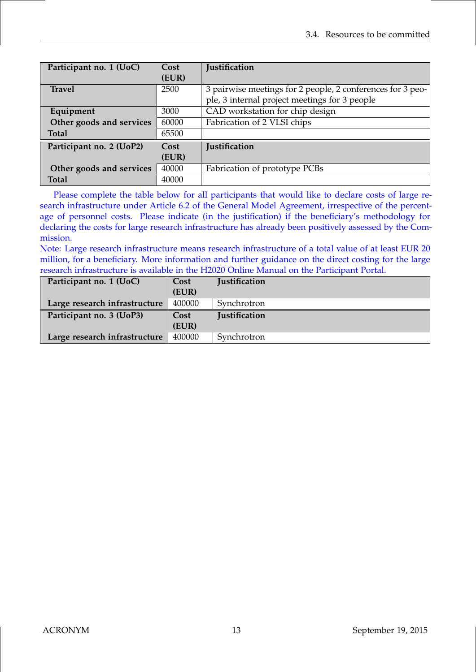| Participant no. 1 (UoC)  | Cost  | <b>Justification</b>                                       |
|--------------------------|-------|------------------------------------------------------------|
|                          | (EUR) |                                                            |
| <b>Travel</b>            | 2500  | 3 pairwise meetings for 2 people, 2 conferences for 3 peo- |
|                          |       | ple, 3 internal project meetings for 3 people              |
| Equipment                | 3000  | CAD workstation for chip design                            |
| Other goods and services | 60000 | Fabrication of 2 VLSI chips                                |
| <b>Total</b>             | 65500 |                                                            |
| Participant no. 2 (UoP2) | Cost  | <b>Justification</b>                                       |
|                          | (EUR) |                                                            |
| Other goods and services | 40000 | Fabrication of prototype PCBs                              |
| <b>Total</b>             | 40000 |                                                            |

Please complete the table below for all participants that would like to declare costs of large research infrastructure under Article 6.2 of the General Model Agreement, irrespective of the percentage of personnel costs. Please indicate (in the justification) if the beneficiary's methodology for declaring the costs for large research infrastructure has already been positively assessed by the Commission.

Note: Large research infrastructure means research infrastructure of a total value of at least EUR 20 million, for a beneficiary. More information and further guidance on the direct costing for the large research infrastructure is available in the H2020 Online Manual on the Participant Portal.

| Participant no. 1 (UoC)       | Cost<br>(EUR) | Justification |
|-------------------------------|---------------|---------------|
| Large research infrastructure | 400000        | Synchrotron   |
| Participant no. 3 (UoP3)      | Cost<br>(EUR) | Justification |
| Large research infrastructure | 400000        | Synchrotron   |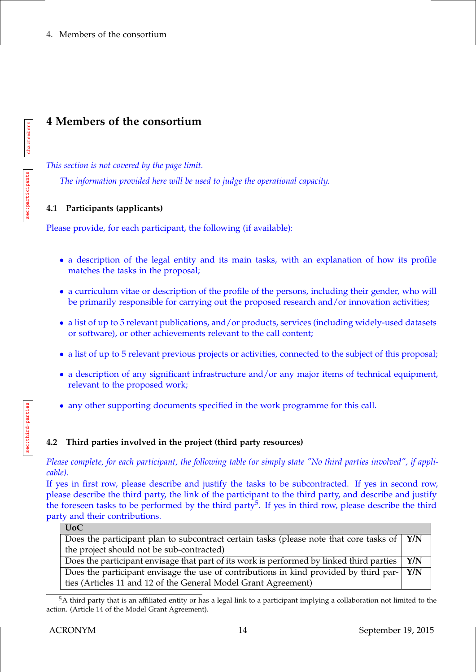# **4 Members of the consortium**

*This section is not covered by the page limit.*

*The information provided here will be used to judge the operational capacity.*

## **4.1 Participants (applicants)**

Please provide, for each participant, the following (if available):

- a description of the legal entity and its main tasks, with an explanation of how its profile matches the tasks in the proposal;
- a curriculum vitae or description of the profile of the persons, including their gender, who will be primarily responsible for carrying out the proposed research and/or innovation activities;
- a list of up to 5 relevant publications, and/or products, services (including widely-used datasets or software), or other achievements relevant to the call content;
- a list of up to 5 relevant previous projects or activities, connected to the subject of this proposal;
- a description of any significant infrastructure and/or any major items of technical equipment, relevant to the proposed work;
- any other supporting documents specified in the work programme for this call.

## **4.2 Third parties involved in the project (third party resources)**

*Please complete, for each participant, the following table (or simply state "No third parties involved", if applicable).*

If yes in first row, please describe and justify the tasks to be subcontracted. If yes in second row, please describe the third party, the link of the participant to the third party, and describe and justify the foreseen tasks to be performed by the third party<sup>5</sup>. If yes in third row, please describe the third party and their contributions.

| UUC.                                                                                                             |     |
|------------------------------------------------------------------------------------------------------------------|-----|
| Does the participant plan to subcontract certain tasks (please note that core tasks of $\vert$ Y/N               |     |
| the project should not be sub-contracted)                                                                        |     |
| Does the participant envisage that part of its work is performed by linked third parties                         | Y/N |
| Does the participant envisage the use of contributions in kind provided by third par- $\left  \right\rangle$ Y/N |     |
| ties (Articles 11 and 12 of the General Model Grant Agreement)                                                   |     |

<sup>&</sup>lt;sup>5</sup>A third party that is an affiliated entity or has a legal link to a participant implying a collaboration not limited to the action. (Article 14 of the Model Grant Agreement).

cha:members

 $\overline{\text{ILC}}$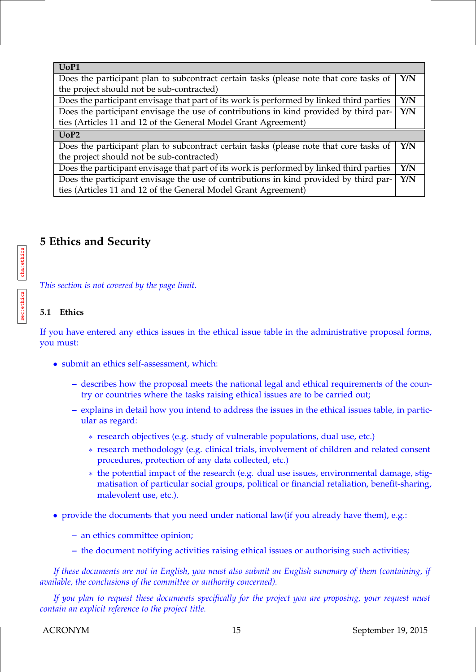| UoP1                                                                                     |     |
|------------------------------------------------------------------------------------------|-----|
| Does the participant plan to subcontract certain tasks (please note that core tasks of   | Y/N |
| the project should not be sub-contracted)                                                |     |
| Does the participant envisage that part of its work is performed by linked third parties | Y/N |
| Does the participant envisage the use of contributions in kind provided by third par-    | Y/N |
| ties (Articles 11 and 12 of the General Model Grant Agreement)                           |     |
|                                                                                          |     |
| UoP2                                                                                     |     |
| Does the participant plan to subcontract certain tasks (please note that core tasks of   | Y/N |
| the project should not be sub-contracted)                                                |     |
| Does the participant envisage that part of its work is performed by linked third parties | Y/N |
| Does the participant envisage the use of contributions in kind provided by third par-    | Y/N |

# **5 Ethics and Security**

*This section is not covered by the page limit.*

#### **5.1 Ethics**

cha:ethics

sec:ethics

If you have entered any ethics issues in the ethical issue table in the administrative proposal forms, you must:

- submit an ethics self-assessment, which:
	- **–** describes how the proposal meets the national legal and ethical requirements of the country or countries where the tasks raising ethical issues are to be carried out;
	- **–** explains in detail how you intend to address the issues in the ethical issues table, in particular as regard:
		- ∗ research objectives (e.g. study of vulnerable populations, dual use, etc.)
		- ∗ research methodology (e.g. clinical trials, involvement of children and related consent procedures, protection of any data collected, etc.)
		- ∗ the potential impact of the research (e.g. dual use issues, environmental damage, stigmatisation of particular social groups, political or financial retaliation, benefit-sharing, malevolent use, etc.).
- provide the documents that you need under national law(if you already have them), e.g.:
	- **–** an ethics committee opinion;
	- **–** the document notifying activities raising ethical issues or authorising such activities;

*If these documents are not in English, you must also submit an English summary of them (containing, if available, the conclusions of the committee or authority concerned).*

*If you plan to request these documents specifically for the project you are proposing, your request must contain an explicit reference to the project title.*